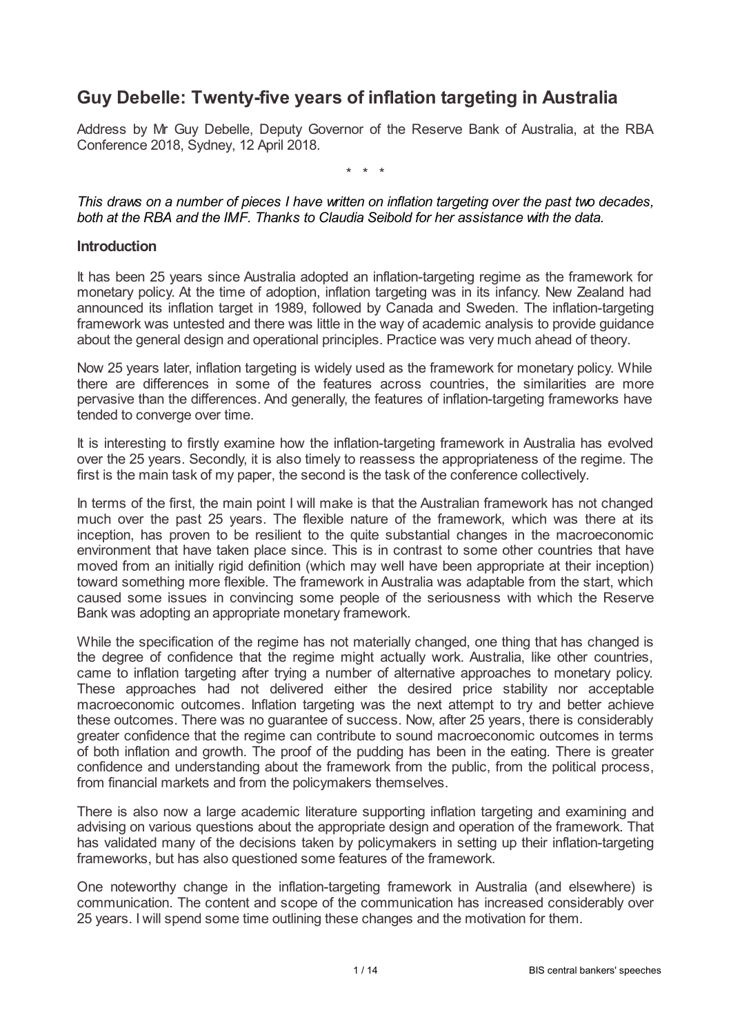# **Guy Debelle: Twenty-five years of inflation targeting in Australia**

Address by Mr Guy Debelle, Deputy Governor of the Reserve Bank of Australia, at the RBA Conference 2018, Sydney, 12 April 2018.

\* \* \*

*This draws on a number of pieces I have written on inflation targeting over the past two decades, both at the RBA and the IMF. Thanks to Claudia Seibold for her assistance with the data.*

#### **Introduction**

It has been 25 years since Australia adopted an inflation-targeting regime as the framework for monetary policy. At the time of adoption, inflation targeting was in its infancy. New Zealand had announced its inflation target in 1989, followed by Canada and Sweden. The inflation-targeting framework was untested and there was little in the way of academic analysis to provide guidance about the general design and operational principles. Practice was very much ahead of theory.

Now 25 years later, inflation targeting is widely used as the framework for monetary policy. While there are differences in some of the features across countries, the similarities are more pervasive than the differences. And generally, the features of inflation-targeting frameworks have tended to converge over time.

It is interesting to firstly examine how the inflation-targeting framework in Australia has evolved over the 25 years. Secondly, it is also timely to reassess the appropriateness of the regime. The first is the main task of my paper, the second is the task of the conference collectively.

In terms of the first, the main point I will make is that the Australian framework has not changed much over the past 25 years. The flexible nature of the framework, which was there at its inception, has proven to be resilient to the quite substantial changes in the macroeconomic environment that have taken place since. This is in contrast to some other countries that have moved from an initially rigid definition (which may well have been appropriate at their inception) toward something more flexible. The framework in Australia was adaptable from the start, which caused some issues in convincing some people of the seriousness with which the Reserve Bank was adopting an appropriate monetary framework.

While the specification of the regime has not materially changed, one thing that has changed is the degree of confidence that the regime might actually work. Australia, like other countries, came to inflation targeting after trying a number of alternative approaches to monetary policy. These approaches had not delivered either the desired price stability nor acceptable macroeconomic outcomes. Inflation targeting was the next attempt to try and better achieve these outcomes. There was no guarantee of success. Now, after 25 years, there is considerably greater confidence that the regime can contribute to sound macroeconomic outcomes in terms of both inflation and growth. The proof of the pudding has been in the eating. There is greater confidence and understanding about the framework from the public, from the political process, from financial markets and from the policymakers themselves.

There is also now a large academic literature supporting inflation targeting and examining and advising on various questions about the appropriate design and operation of the framework. That has validated many of the decisions taken by policymakers in setting up their inflation-targeting frameworks, but has also questioned some features of the framework.

One noteworthy change in the inflation-targeting framework in Australia (and elsewhere) is communication. The content and scope of the communication has increased considerably over 25 years. I will spend some time outlining these changes and the motivation for them.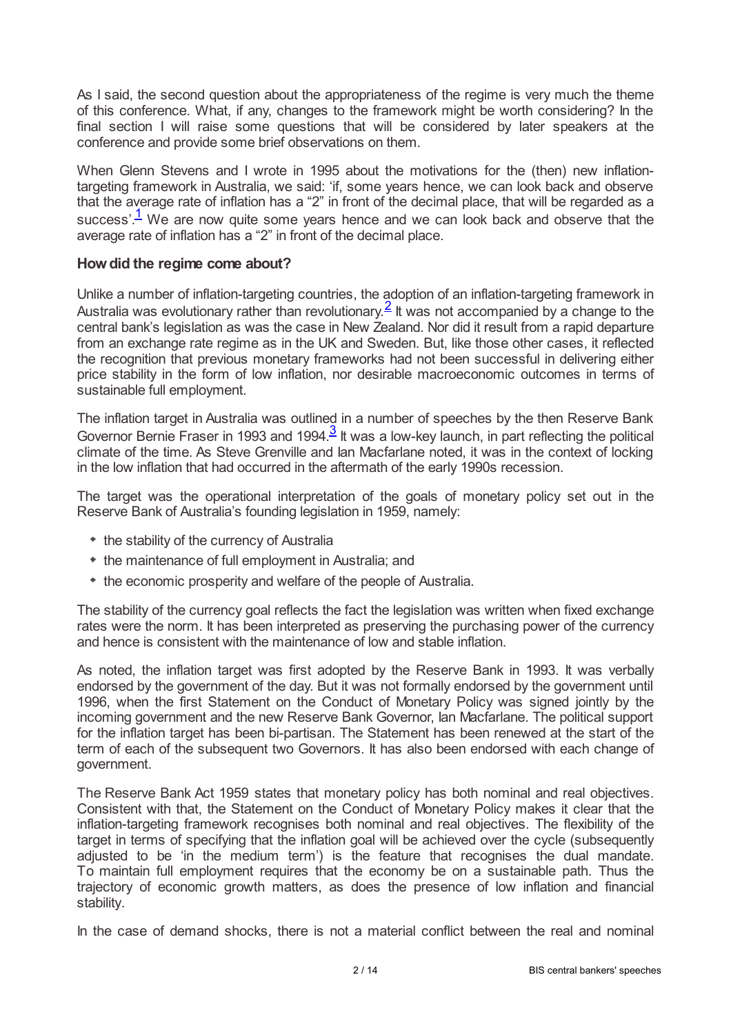As I said, the second question about the appropriateness of the regime is very much the theme of this conference. What, if any, changes to the framework might be worth considering? In the final section I will raise some questions that will be considered by later speakers at the conference and provide some brief observations on them.

When Glenn Stevens and I wrote in 1995 about the motivations for the (then) new inflationtargeting framework in Australia, we said: 'if, some years hence, we can look back and observe that the average rate of inflation has a "2" in front of the decimal place, that will be regarded as a success'. $<sup>1</sup>$  $<sup>1</sup>$  $<sup>1</sup>$  We are now quite some years hence and we can look back and observe that the</sup> average rate of inflation has a "2" in front of the decimal place.

## <span id="page-1-0"></span>**Howdid the regime come about?**

<span id="page-1-1"></span>Unlike a number of inflation-targeting countries, the adoption of an inflation-targeting framework in Australia was evolutionary rather than revolutionary.  $\frac{2}{3}$  $\frac{2}{3}$  $\frac{2}{3}$  It was not accompanied by a change to the central bank's legislation as was the case in New Zealand. Nor did it result from a rapid departure from an exchange rate regime as in the UK and Sweden. But, like those other cases, it reflected the recognition that previous monetary frameworks had not been successful in delivering either price stability in the form of low inflation, nor desirable macroeconomic outcomes in terms of sustainable full employment.

<span id="page-1-2"></span>The inflation target in Australia was outlined in a number of speeches by the then Reserve Bank Governor Bernie Fraser in 199[3](#page-12-2) and 1994. $\frac{3}{5}$  It was a low-key launch, in part reflecting the political climate of the time. As Steve Grenville and Ian Macfarlane noted, it was in the context of locking in the low inflation that had occurred in the aftermath of the early 1990s recession.

The target was the operational interpretation of the goals of monetary policy set out in the Reserve Bank of Australia's founding legislation in 1959, namely:

- the stability of the currency of Australia
- $*$  the maintenance of full employment in Australia; and
- $*$  the economic prosperity and welfare of the people of Australia.

The stability of the currency goal reflects the fact the legislation was written when fixed exchange rates were the norm. It has been interpreted as preserving the purchasing power of the currency and hence is consistent with the maintenance of low and stable inflation.

As noted, the inflation target was first adopted by the Reserve Bank in 1993. It was verbally endorsed by the government of the day. But it was not formally endorsed by the government until 1996, when the first Statement on the Conduct of Monetary Policy was signed jointly by the incoming government and the new Reserve Bank Governor, Ian Macfarlane. The political support for the inflation target has been bi-partisan. The Statement has been renewed at the start of the term of each of the subsequent two Governors. It has also been endorsed with each change of government.

The Reserve Bank Act 1959 states that monetary policy has both nominal and real objectives. Consistent with that, the Statement on the Conduct of Monetary Policy makes it clear that the inflation-targeting framework recognises both nominal and real objectives. The flexibility of the target in terms of specifying that the inflation goal will be achieved over the cycle (subsequently adjusted to be 'in the medium term') is the feature that recognises the dual mandate. To maintain full employment requires that the economy be on a sustainable path. Thus the trajectory of economic growth matters, as does the presence of low inflation and financial stability.

In the case of demand shocks, there is not a material conflict between the real and nominal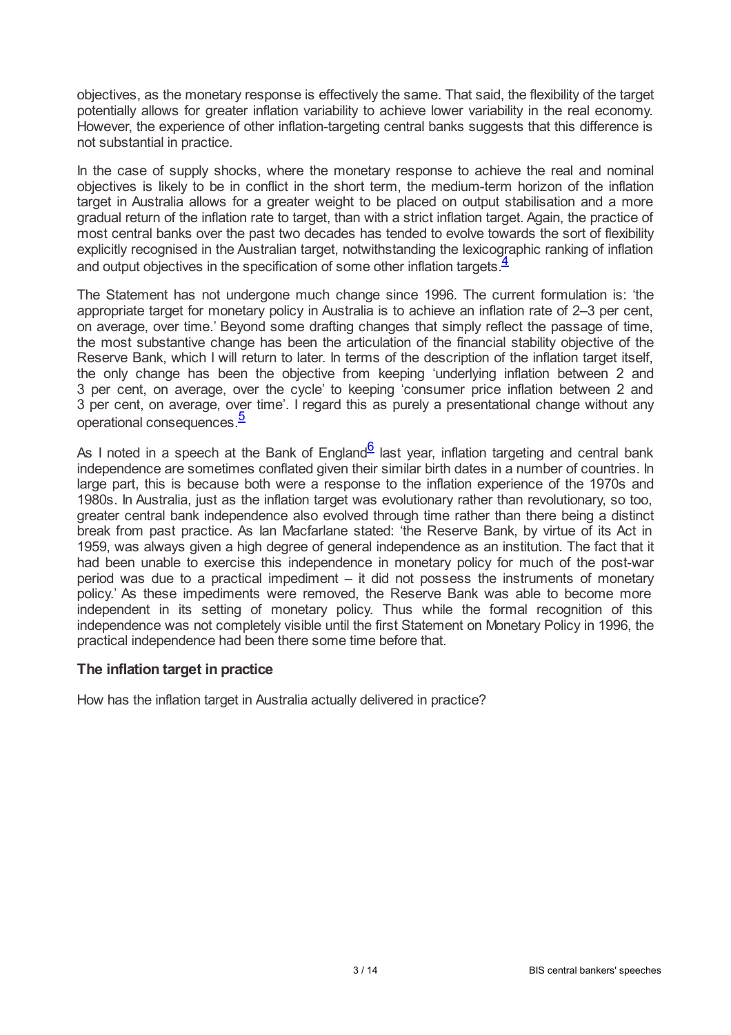objectives, as the monetary response is effectively the same. That said, the flexibility of the target potentially allows for greater inflation variability to achieve lower variability in the real economy. However, the experience of other inflation-targeting central banks suggests that this difference is not substantial in practice.

In the case of supply shocks, where the monetary response to achieve the real and nominal objectives is likely to be in conflict in the short term, the medium-term horizon of the inflation target in Australia allows for a greater weight to be placed on output stabilisation and a more gradual return of the inflation rate to target, than with a strict inflation target. Again, the practice of most central banks over the past two decades has tended to evolve towards the sort of flexibility explicitly recognised in the Australian target, notwithstanding the lexicographic ranking of inflation and output objectives in the specification of some other inflation targets.<sup>[4](#page-12-3)</sup>

<span id="page-2-0"></span>The Statement has not undergone much change since 1996. The current formulation is: 'the appropriate target for monetary policy in Australia is to achieve an inflation rate of 2–3 per cent, on average, over time.' Beyond some drafting changes that simply reflect the passage of time, the most substantive change has been the articulation of the financial stability objective of the Reserve Bank, which I will return to later. In terms of the description of the inflation target itself, the only change has been the objective from keeping 'underlying inflation between 2 and 3 per cent, on average, over the cycle' to keeping 'consumer price inflation between 2 and 3 per cent, on average, over time'. I regard this as purely a presentational change without any operational consequences.<sup>[5](#page-12-4)</sup>

<span id="page-2-2"></span><span id="page-2-1"></span>As I noted in a speech at the Bank of England<sup>[6](#page-12-5)</sup> last year, inflation targeting and central bank independence are sometimes conflated given their similar birth dates in a number of countries. In large part, this is because both were a response to the inflation experience of the 1970s and 1980s. In Australia, just as the inflation target was evolutionary rather than revolutionary, so too, greater central bank independence also evolved through time rather than there being a distinct break from past practice. As Ian Macfarlane stated: 'the Reserve Bank, by virtue of its Act in 1959, was always given a high degree of general independence as an institution. The fact that it had been unable to exercise this independence in monetary policy for much of the post-war period was due to a practical impediment – it did not possess the instruments of monetary policy.' As these impediments were removed, the Reserve Bank was able to become more independent in its setting of monetary policy. Thus while the formal recognition of this independence was not completely visible until the first Statement on Monetary Policy in 1996, the practical independence had been there some time before that.

#### **The inflation target in practice**

How has the inflation target in Australia actually delivered in practice?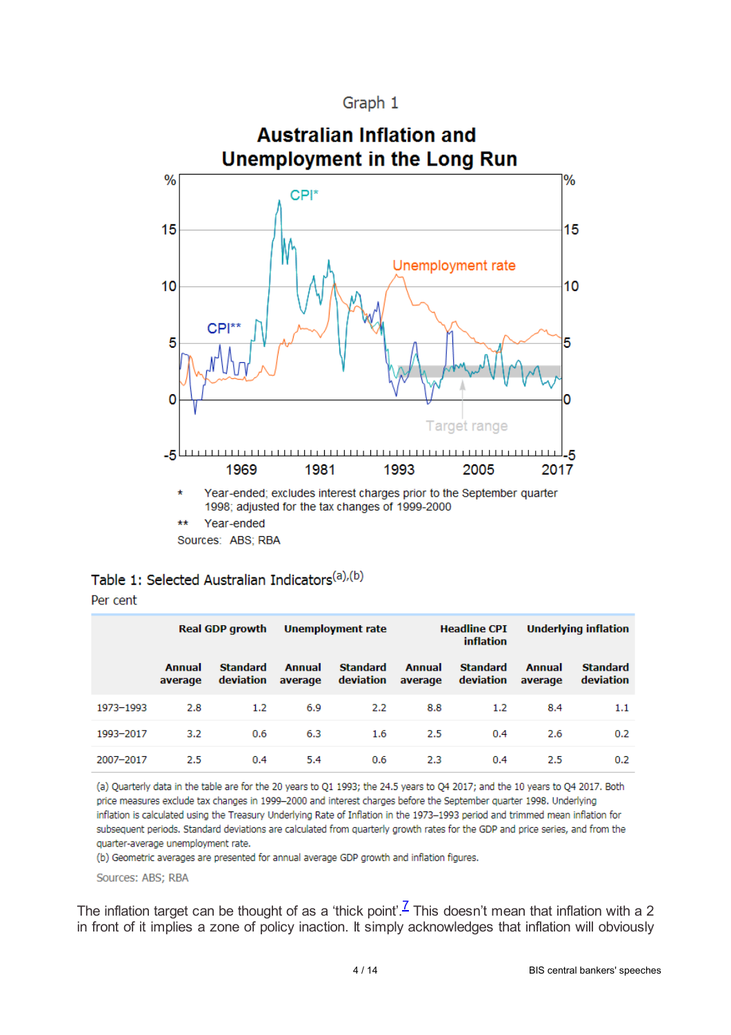Graph 1



Sources: ABS: RBA

|  |  |  | Table 1: Selected Australian Indicators <sup>(a),(b)</sup> |  |  |  |
|--|--|--|------------------------------------------------------------|--|--|--|
|--|--|--|------------------------------------------------------------|--|--|--|

|           | <b>Real GDP growth</b> |                              | Unemployment rate |                              | <b>Headline CPI</b><br><b>inflation</b> |                              | <b>Underlying inflation</b> |                              |
|-----------|------------------------|------------------------------|-------------------|------------------------------|-----------------------------------------|------------------------------|-----------------------------|------------------------------|
|           | Annual<br>average      | <b>Standard</b><br>deviation | Annual<br>average | <b>Standard</b><br>deviation | Annual<br>average                       | <b>Standard</b><br>deviation | Annual<br>average           | <b>Standard</b><br>deviation |
| 1973-1993 | 2.8                    | 1.2                          | 6.9               | 2.2                          | 8.8                                     | 1.2                          | 8.4                         | 1.1                          |
| 1993-2017 | 3.2                    | 0.6                          | 6.3               | 1.6                          | 2.5                                     | 0.4                          | 2.6                         | 0.2                          |
| 2007-2017 | 2.5                    | 0.4                          | 5.4               | 0.6                          | 2.3                                     | 0.4                          | 2.5                         | 0.2                          |

(a) Quarterly data in the table are for the 20 years to Q1 1993; the 24.5 years to Q4 2017; and the 10 years to Q4 2017. Both price measures exclude tax changes in 1999-2000 and interest charges before the September quarter 1998. Underlying inflation is calculated using the Treasury Underlying Rate of Inflation in the 1973-1993 period and trimmed mean inflation for subsequent periods. Standard deviations are calculated from quarterly growth rates for the GDP and price series, and from the quarter-average unemployment rate.

(b) Geometric averages are presented for annual average GDP growth and inflation figures.

<span id="page-3-0"></span>Sources: ABS; RBA

The inflation target can be thought of as a 'thick point'.<sup>Z</sup> This doesn't mean that inflation with a 2 in front of it implies a zone of policy inaction. It simply acknowledges that inflation will obviously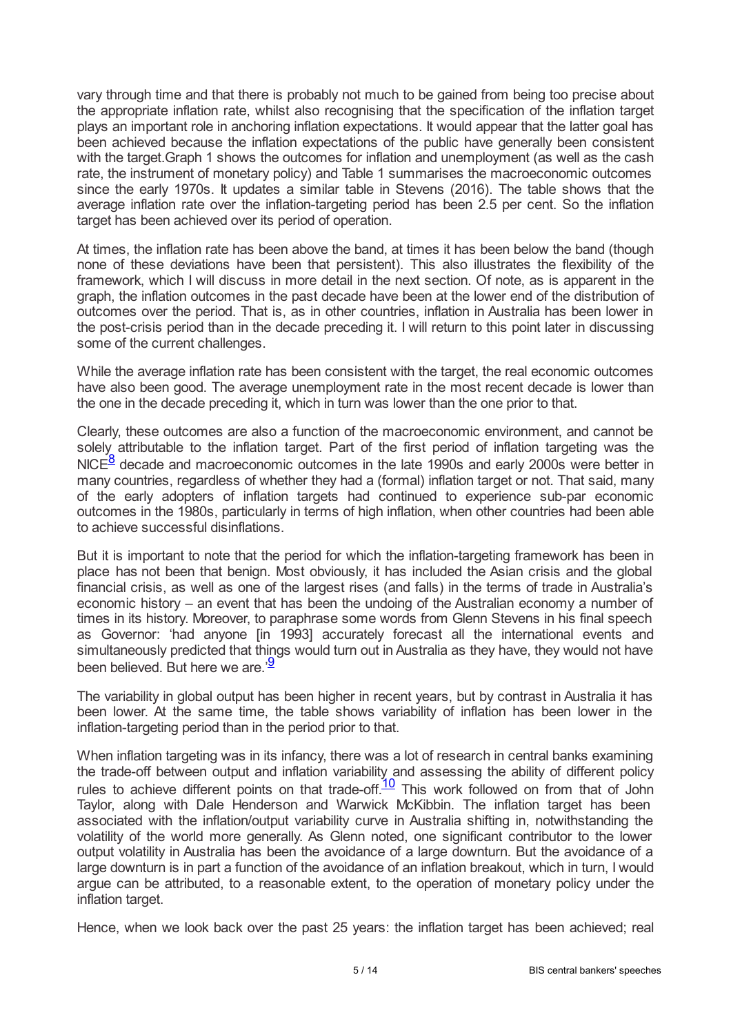vary through time and that there is probably not much to be gained from being too precise about the appropriate inflation rate, whilst also recognising that the specification of the inflation target plays an important role in anchoring inflation expectations. It would appear that the latter goal has been achieved because the inflation expectations of the public have generally been consistent with the target.Graph 1 shows the outcomes for inflation and unemployment (as well as the cash rate, the instrument of monetary policy) and Table 1 summarises the macroeconomic outcomes since the early 1970s. It updates a similar table in Stevens (2016). The table shows that the average inflation rate over the inflation-targeting period has been 2.5 per cent. So the inflation target has been achieved over its period of operation.

At times, the inflation rate has been above the band, at times it has been below the band (though none of these deviations have been that persistent). This also illustrates the flexibility of the framework, which I will discuss in more detail in the next section. Of note, as is apparent in the graph, the inflation outcomes in the past decade have been at the lower end of the distribution of outcomes over the period. That is, as in other countries, inflation in Australia has been lower in the post-crisis period than in the decade preceding it. I will return to this point later in discussing some of the current challenges.

While the average inflation rate has been consistent with the target, the real economic outcomes have also been good. The average unemployment rate in the most recent decade is lower than the one in the decade preceding it, which in turn was lower than the one prior to that.

<span id="page-4-0"></span>Clearly, these outcomes are also a function of the macroeconomic environment, and cannot be solely attributable to the inflation target. Part of the first period of inflation targeting was the  $NICE<sup>8</sup>$  $NICE<sup>8</sup>$  $NICE<sup>8</sup>$  decade and macroeconomic outcomes in the late 1990s and early 2000s were better in many countries, regardless of whether they had a (formal) inflation target or not. That said, many of the early adopters of inflation targets had continued to experience sub-par economic outcomes in the 1980s, particularly in terms of high inflation, when other countries had been able to achieve successful disinflations.

But it is important to note that the period for which the inflation-targeting framework has been in place has not been that benign. Most obviously, it has included the Asian crisis and the global financial crisis, as well as one of the largest rises (and falls) in the terms of trade in Australia's economic history – an event that has been the undoing of the Australian economy a number of times in its history. Moreover, to paraphrase some words from Glenn Stevens in his final speech as Governor: 'had anyone [in 1993] accurately forecast all the international events and simultaneously predicted that things would turn out in Australia as they have, they would not have been believed. But here we are.<sup>[9](#page-12-8)</sup>

<span id="page-4-1"></span>The variability in global output has been higher in recent years, but by contrast in Australia it has been lower. At the same time, the table shows variability of inflation has been lower in the inflation-targeting period than in the period prior to that.

<span id="page-4-2"></span>When inflation targeting was in its infancy, there was a lot of research in central banks examining the trade-off between output and inflation variability and assessing the ability of different policy rules to achieve different points on that trade-off.<sup>[10](#page-12-9)</sup> This work followed on from that of John Taylor, along with Dale Henderson and Warwick McKibbin. The inflation target has been associated with the inflation/output variability curve in Australia shifting in, notwithstanding the volatility of the world more generally. As Glenn noted, one significant contributor to the lower output volatility in Australia has been the avoidance of a large downturn. But the avoidance of a large downturn is in part a function of the avoidance of an inflation breakout, which in turn, I would argue can be attributed, to a reasonable extent, to the operation of monetary policy under the inflation target.

Hence, when we look back over the past 25 years: the inflation target has been achieved; real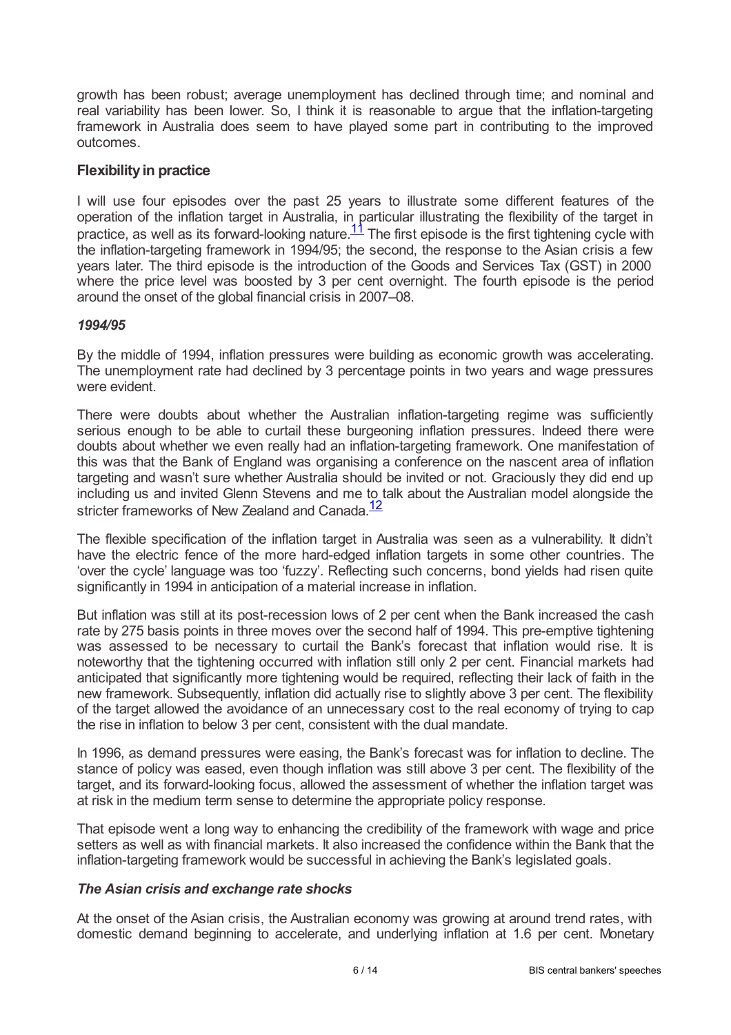growth has been robust; average unemployment has declined through time; and nominal and real variability has been lower. So, I think it is reasonable to argue that the inflation-targeting framework in Australia does seem to have played some part in contributing to the improved outcomes.

## **Flexibilityin practice**

<span id="page-5-0"></span>I will use four episodes over the past 25 years to illustrate some different features of the operation of the inflation target in Australia, in particular illustrating the flexibility of the target in practice, as well as its forward-looking nature. $\frac{11}{1}$  $\frac{11}{1}$  $\frac{11}{1}$  The first episode is the first tightening cycle with the inflation-targeting framework in 1994/95; the second, the response to the Asian crisis a few years later. The third episode is the introduction of the Goods and Services Tax (GST) in 2000 where the price level was boosted by 3 per cent overnight. The fourth episode is the period around the onset of the global financial crisis in 2007–08.

## *1994/95*

By the middle of 1994, inflation pressures were building as economic growth was accelerating. The unemployment rate had declined by 3 percentage points in two years and wage pressures were evident.

There were doubts about whether the Australian inflation-targeting regime was sufficiently serious enough to be able to curtail these burgeoning inflation pressures. Indeed there were doubts about whether we even really had an inflation-targeting framework. One manifestation of this was that the Bank of England was organising a conference on the nascent area of inflation targeting and wasn't sure whether Australia should be invited or not. Graciously they did end up including us and invited Glenn Stevens and me to talk about the Australian model alongside the stricter frameworks of New Zealand and Canada.<sup>[12](#page-12-11)</sup>

<span id="page-5-1"></span>The flexible specification of the inflation target in Australia was seen as a vulnerability. It didn't have the electric fence of the more hard-edged inflation targets in some other countries. The 'over the cycle' language was too 'fuzzy'. Reflecting such concerns, bond yields had risen quite significantly in 1994 in anticipation of a material increase in inflation.

But inflation was still at its post-recession lows of 2 per cent when the Bank increased the cash rate by 275 basis points in three moves over the second half of 1994. This pre-emptive tightening was assessed to be necessary to curtail the Bank's forecast that inflation would rise. It is noteworthy that the tightening occurred with inflation still only 2 per cent. Financial markets had anticipated that significantly more tightening would be required, reflecting their lack of faith in the new framework. Subsequently, inflation did actually rise to slightly above 3 per cent. The flexibility of the target allowed the avoidance of an unnecessary cost to the real economy of trying to cap the rise in inflation to below 3 per cent, consistent with the dual mandate.

In 1996, as demand pressures were easing, the Bank's forecast was for inflation to decline. The stance of policy was eased, even though inflation was still above 3 per cent. The flexibility of the target, and its forward-looking focus, allowed the assessment of whether the inflation target was at risk in the medium term sense to determine the appropriate policy response.

That episode went a long way to enhancing the credibility of the framework with wage and price setters as well as with financial markets. It also increased the confidence within the Bank that the inflation-targeting framework would be successful in achieving the Bank's legislated goals.

#### *The Asian crisis and exchange rate shocks*

At the onset of the Asian crisis, the Australian economy was growing at around trend rates, with domestic demand beginning to accelerate, and underlying inflation at 1.6 per cent. Monetary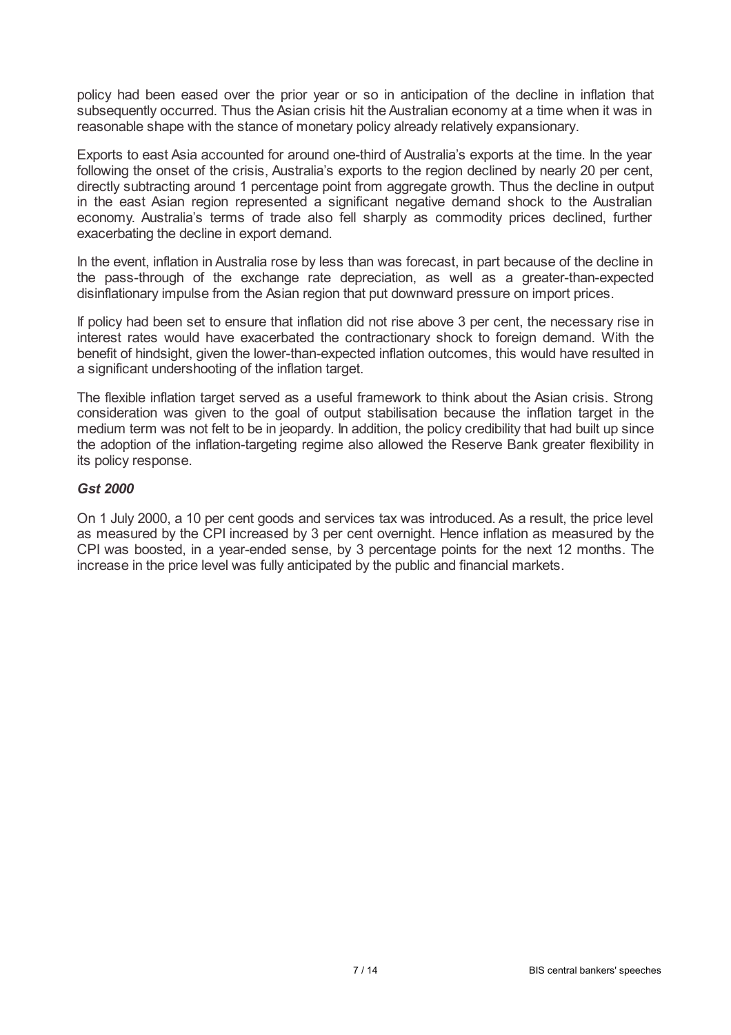policy had been eased over the prior year or so in anticipation of the decline in inflation that subsequently occurred. Thus the Asian crisis hit the Australian economy at a time when it was in reasonable shape with the stance of monetary policy already relatively expansionary.

Exports to east Asia accounted for around one-third of Australia's exports at the time. In the year following the onset of the crisis, Australia's exports to the region declined by nearly 20 per cent, directly subtracting around 1 percentage point from aggregate growth. Thus the decline in output in the east Asian region represented a significant negative demand shock to the Australian economy. Australia's terms of trade also fell sharply as commodity prices declined, further exacerbating the decline in export demand.

In the event, inflation in Australia rose by less than was forecast, in part because of the decline in the pass-through of the exchange rate depreciation, as well as a greater-than-expected disinflationary impulse from the Asian region that put downward pressure on import prices.

If policy had been set to ensure that inflation did not rise above 3 per cent, the necessary rise in interest rates would have exacerbated the contractionary shock to foreign demand. With the benefit of hindsight, given the lower-than-expected inflation outcomes, this would have resulted in a significant undershooting of the inflation target.

The flexible inflation target served as a useful framework to think about the Asian crisis. Strong consideration was given to the goal of output stabilisation because the inflation target in the medium term was not felt to be in jeopardy. In addition, the policy credibility that had built up since the adoption of the inflation-targeting regime also allowed the Reserve Bank greater flexibility in its policy response.

#### *Gst 2000*

On 1 July 2000, a 10 per cent goods and services tax was introduced. As a result, the price level as measured by the CPI increased by 3 per cent overnight. Hence inflation as measured by the CPI was boosted, in a year-ended sense, by 3 percentage points for the next 12 months. The increase in the price level was fully anticipated by the public and financial markets.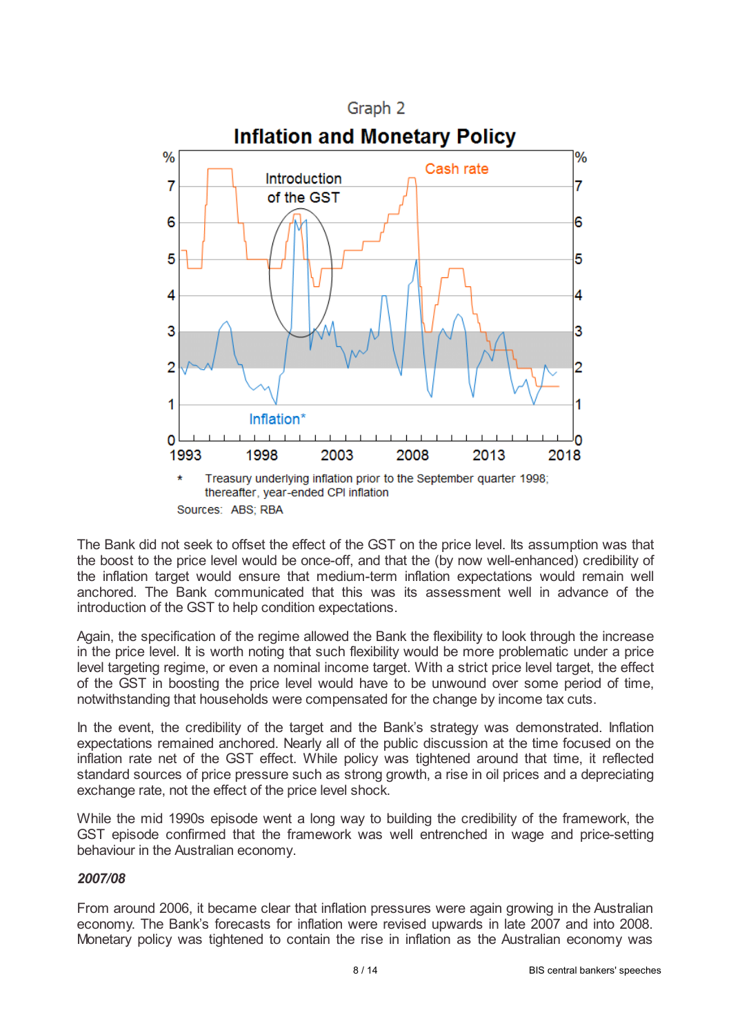

The Bank did not seek to offset the effect of the GST on the price level. Its assumption was that the boost to the price level would be once-off, and that the (by now well-enhanced) credibility of the inflation target would ensure that medium-term inflation expectations would remain well anchored. The Bank communicated that this was its assessment well in advance of the introduction of the GST to help condition expectations.

Again, the specification of the regime allowed the Bank the flexibility to look through the increase in the price level. It is worth noting that such flexibility would be more problematic under a price level targeting regime, or even a nominal income target. With a strict price level target, the effect of the GST in boosting the price level would have to be unwound over some period of time, notwithstanding that households were compensated for the change by income tax cuts.

In the event, the credibility of the target and the Bank's strategy was demonstrated. Inflation expectations remained anchored. Nearly all of the public discussion at the time focused on the inflation rate net of the GST effect. While policy was tightened around that time, it reflected standard sources of price pressure such as strong growth, a rise in oil prices and a depreciating exchange rate, not the effect of the price level shock.

While the mid 1990s episode went a long way to building the credibility of the framework, the GST episode confirmed that the framework was well entrenched in wage and price-setting behaviour in the Australian economy.

#### *2007/08*

From around 2006, it became clear that inflation pressures were again growing in the Australian economy. The Bank's forecasts for inflation were revised upwards in late 2007 and into 2008. Monetary policy was tightened to contain the rise in inflation as the Australian economy was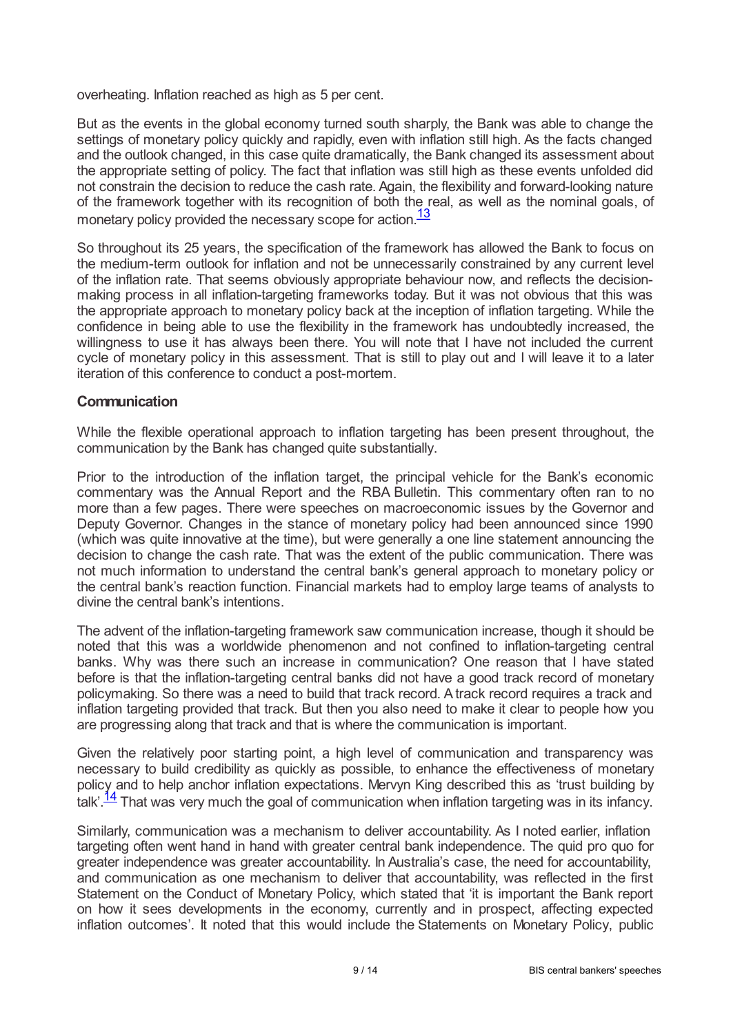overheating. Inflation reached as high as 5 per cent.

But as the events in the global economy turned south sharply, the Bank was able to change the settings of monetary policy quickly and rapidly, even with inflation still high. As the facts changed and the outlook changed, in this case quite dramatically, the Bank changed its assessment about the appropriate setting of policy. The fact that inflation was still high as these events unfolded did not constrain the decision to reduce the cash rate. Again, the flexibility and forward-looking nature of the framework together with its recognition of both the real, as well as the nominal goals, of monetary policy provided the necessary scope for action.<sup>[13](#page-12-12)</sup>

<span id="page-8-0"></span>So throughout its 25 years, the specification of the framework has allowed the Bank to focus on the medium-term outlook for inflation and not be unnecessarily constrained by any current level of the inflation rate. That seems obviously appropriate behaviour now, and reflects the decisionmaking process in all inflation-targeting frameworks today. But it was not obvious that this was the appropriate approach to monetary policy back at the inception of inflation targeting. While the confidence in being able to use the flexibility in the framework has undoubtedly increased, the willingness to use it has always been there. You will note that I have not included the current cycle of monetary policy in this assessment. That is still to play out and I will leave it to a later iteration of this conference to conduct a post-mortem.

#### **Communication**

While the flexible operational approach to inflation targeting has been present throughout, the communication by the Bank has changed quite substantially.

Prior to the introduction of the inflation target, the principal vehicle for the Bank's economic commentary was the Annual Report and the RBA Bulletin. This commentary often ran to no more than a few pages. There were speeches on macroeconomic issues by the Governor and Deputy Governor. Changes in the stance of monetary policy had been announced since 1990 (which was quite innovative at the time), but were generally a one line statement announcing the decision to change the cash rate. That was the extent of the public communication. There was not much information to understand the central bank's general approach to monetary policy or the central bank's reaction function. Financial markets had to employ large teams of analysts to divine the central bank's intentions.

The advent of the inflation-targeting framework saw communication increase, though it should be noted that this was a worldwide phenomenon and not confined to inflation-targeting central banks. Why was there such an increase in communication? One reason that I have stated before is that the inflation-targeting central banks did not have a good track record of monetary policymaking. So there was a need to build that track record. Atrack record requires a track and inflation targeting provided that track. But then you also need to make it clear to people how you are progressing along that track and that is where the communication is important.

Given the relatively poor starting point, a high level of communication and transparency was necessary to build credibility as quickly as possible, to enhance the effectiveness of monetary policy and to help anchor inflation expectations. Mervyn King described this as 'trust building by talk'.<sup>[14](#page-12-13)</sup> That was very much the goal of communication when inflation targeting was in its infancy.

<span id="page-8-1"></span>Similarly, communication was a mechanism to deliver accountability. As I noted earlier, inflation targeting often went hand in hand with greater central bank independence. The quid pro quo for greater independence was greater accountability. In Australia's case, the need for accountability, and communication as one mechanism to deliver that accountability, was reflected in the first Statement on the Conduct of Monetary Policy, which stated that 'it is important the Bank report on how it sees developments in the economy, currently and in prospect, affecting expected inflation outcomes'. It noted that this would include the Statements on Monetary Policy, public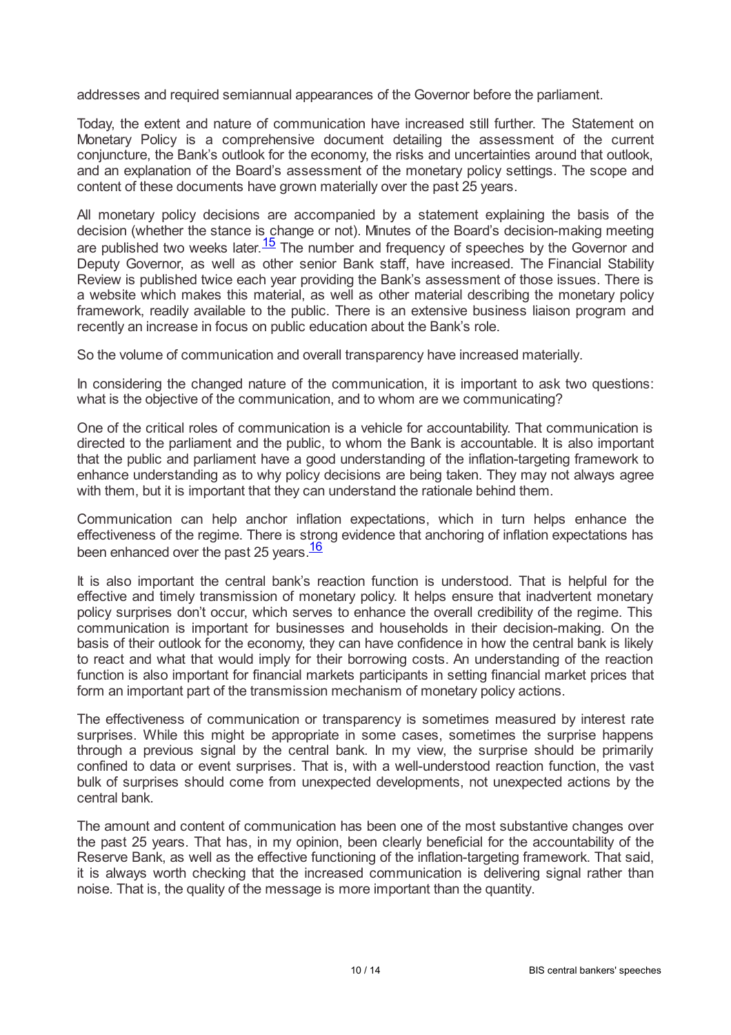addresses and required semiannual appearances of the Governor before the parliament.

Today, the extent and nature of communication have increased still further. The Statement on Monetary Policy is a comprehensive document detailing the assessment of the current conjuncture, the Bank's outlook for the economy, the risks and uncertainties around that outlook, and an explanation of the Board's assessment of the monetary policy settings. The scope and content of these documents have grown materially over the past 25 years.

<span id="page-9-0"></span>All monetary policy decisions are accompanied by a statement explaining the basis of the decision (whether the stance is change or not). Minutes of the Board's decision-making meeting are published two weeks later.  $\frac{15}{2}$  $\frac{15}{2}$  $\frac{15}{2}$  The number and frequency of speeches by the Governor and Deputy Governor, as well as other senior Bank staff, have increased. The Financial Stability Review is published twice each year providing the Bank's assessment of those issues. There is a website which makes this material, as well as other material describing the monetary policy framework, readily available to the public. There is an extensive business liaison program and recently an increase in focus on public education about the Bank's role.

So the volume of communication and overall transparency have increased materially.

In considering the changed nature of the communication, it is important to ask two questions: what is the objective of the communication, and to whom are we communicating?

One of the critical roles of communication is a vehicle for accountability. That communication is directed to the parliament and the public, to whom the Bank is accountable. It is also important that the public and parliament have a good understanding of the inflation-targeting framework to enhance understanding as to why policy decisions are being taken. They may not always agree with them, but it is important that they can understand the rationale behind them.

Communication can help anchor inflation expectations, which in turn helps enhance the effectiveness of the regime. There is strong evidence that anchoring of inflation expectations has been enhanced over the past 25 years.<sup>[16](#page-13-0)</sup>

<span id="page-9-1"></span>It is also important the central bank's reaction function is understood. That is helpful for the effective and timely transmission of monetary policy. It helps ensure that inadvertent monetary policy surprises don't occur, which serves to enhance the overall credibility of the regime. This communication is important for businesses and households in their decision-making. On the basis of their outlook for the economy, they can have confidence in how the central bank is likely to react and what that would imply for their borrowing costs. An understanding of the reaction function is also important for financial markets participants in setting financial market prices that form an important part of the transmission mechanism of monetary policy actions.

The effectiveness of communication or transparency is sometimes measured by interest rate surprises. While this might be appropriate in some cases, sometimes the surprise happens through a previous signal by the central bank. In my view, the surprise should be primarily confined to data or event surprises. That is, with a well-understood reaction function, the vast bulk of surprises should come from unexpected developments, not unexpected actions by the central bank.

The amount and content of communication has been one of the most substantive changes over the past 25 years. That has, in my opinion, been clearly beneficial for the accountability of the Reserve Bank, as well as the effective functioning of the inflation-targeting framework. That said, it is always worth checking that the increased communication is delivering signal rather than noise. That is, the quality of the message is more important than the quantity.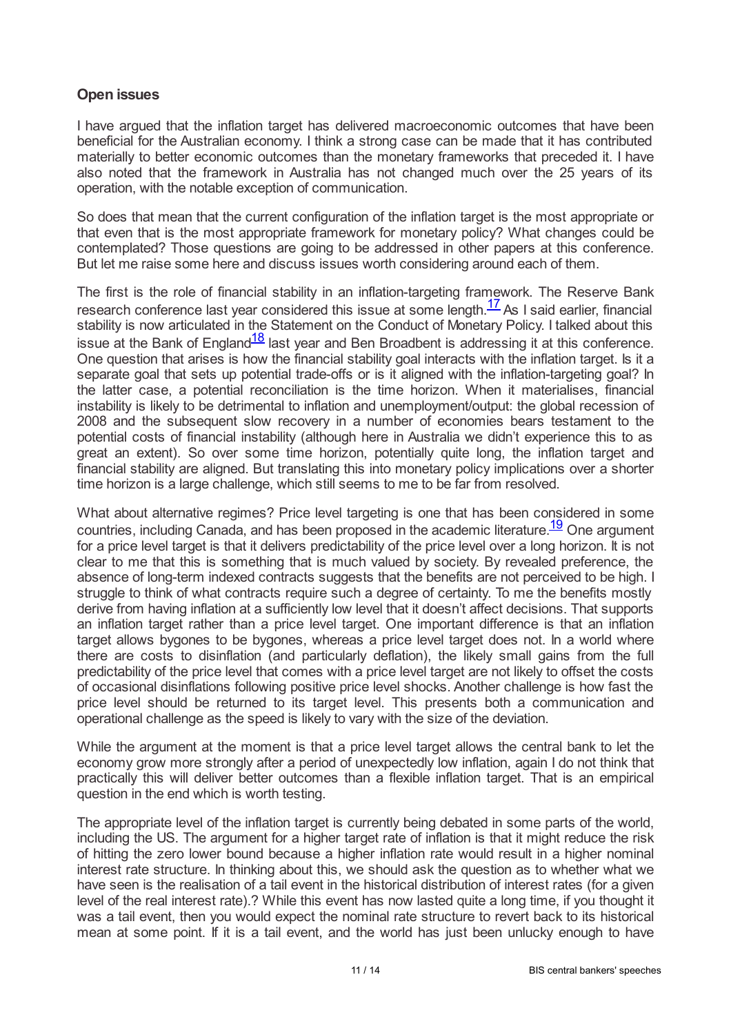# **Open issues**

I have argued that the inflation target has delivered macroeconomic outcomes that have been beneficial for the Australian economy. I think a strong case can be made that it has contributed materially to better economic outcomes than the monetary frameworks that preceded it. I have also noted that the framework in Australia has not changed much over the 25 years of its operation, with the notable exception of communication.

So does that mean that the current configuration of the inflation target is the most appropriate or that even that is the most appropriate framework for monetary policy? What changes could be contemplated? Those questions are going to be addressed in other papers at this conference. But let me raise some here and discuss issues worth considering around each of them.

<span id="page-10-1"></span><span id="page-10-0"></span>The first is the role of financial stability in an inflation-targeting framework. The Reserve Bank research conference last year considered this issue at some length. $\frac{17}{2}$  $\frac{17}{2}$  $\frac{17}{2}$  As I said earlier, financial stability is now articulated in the Statement on the Conduct of Monetary Policy. I talked about this issue at the Bank of England $\frac{18}{18}$  $\frac{18}{18}$  $\frac{18}{18}$  last year and Ben Broadbent is addressing it at this conference. One question that arises is how the financial stability goal interacts with the inflation target. Is it a separate goal that sets up potential trade-offs or is it aligned with the inflation-targeting goal? In the latter case, a potential reconciliation is the time horizon. When it materialises, financial instability is likely to be detrimental to inflation and unemployment/output: the global recession of 2008 and the subsequent slow recovery in a number of economies bears testament to the potential costs of financial instability (although here in Australia we didn't experience this to as great an extent). So over some time horizon, potentially quite long, the inflation target and financial stability are aligned. But translating this into monetary policy implications over a shorter time horizon is a large challenge, which still seems to me to be far from resolved.

<span id="page-10-2"></span>What about alternative regimes? Price level targeting is one that has been considered in some countries, including Canada, and has been proposed in the academic literature.<sup>[19](#page-13-3)</sup> One argument for a price level target is that it delivers predictability of the price level over a long horizon. It is not clear to me that this is something that is much valued by society. By revealed preference, the absence of long-term indexed contracts suggests that the benefits are not perceived to be high. I struggle to think of what contracts require such a degree of certainty. To me the benefits mostly derive from having inflation at a sufficiently low level that it doesn't affect decisions. That supports an inflation target rather than a price level target. One important difference is that an inflation target allows bygones to be bygones, whereas a price level target does not. In a world where there are costs to disinflation (and particularly deflation), the likely small gains from the full predictability of the price level that comes with a price level target are not likely to offset the costs of occasional disinflations following positive price level shocks. Another challenge is how fast the price level should be returned to its target level. This presents both a communication and operational challenge as the speed is likely to vary with the size of the deviation.

While the argument at the moment is that a price level target allows the central bank to let the economy grow more strongly after a period of unexpectedly low inflation, again I do not think that practically this will deliver better outcomes than a flexible inflation target. That is an empirical question in the end which is worth testing.

The appropriate level of the inflation target is currently being debated in some parts of the world, including the US. The argument for a higher target rate of inflation is that it might reduce the risk of hitting the zero lower bound because a higher inflation rate would result in a higher nominal interest rate structure. In thinking about this, we should ask the question as to whether what we have seen is the realisation of a tail event in the historical distribution of interest rates (for a given level of the real interest rate).? While this event has now lasted quite a long time, if you thought it was a tail event, then you would expect the nominal rate structure to revert back to its historical mean at some point. If it is a tail event, and the world has just been unlucky enough to have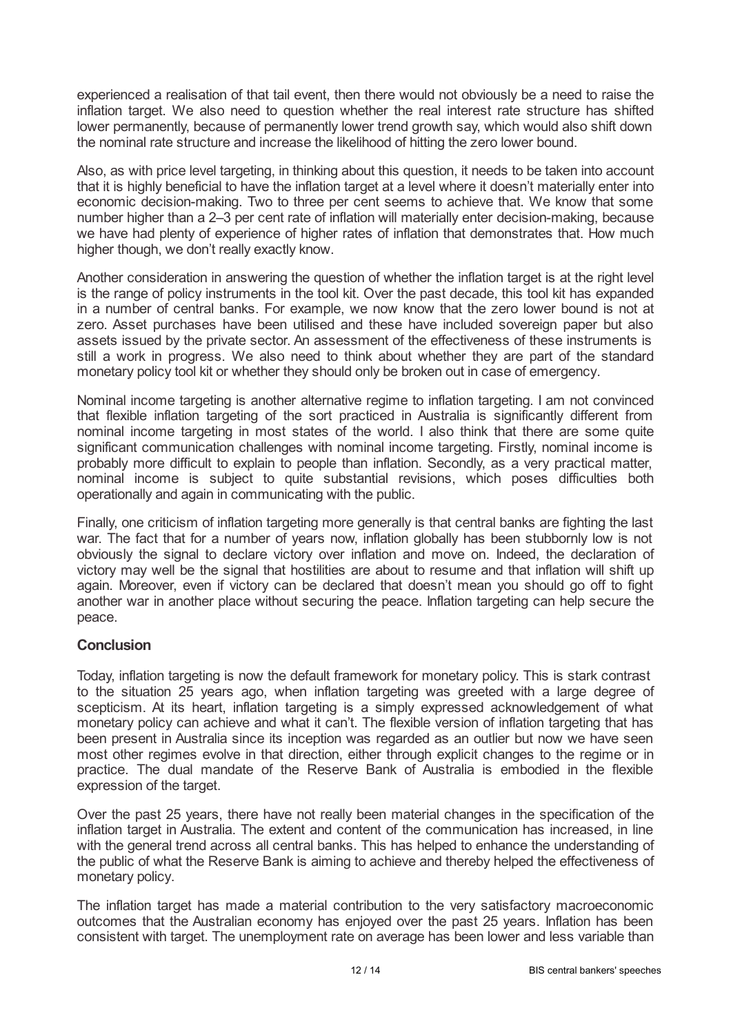experienced a realisation of that tail event, then there would not obviously be a need to raise the inflation target. We also need to question whether the real interest rate structure has shifted lower permanently, because of permanently lower trend growth say, which would also shift down the nominal rate structure and increase the likelihood of hitting the zero lower bound.

Also, as with price level targeting, in thinking about this question, it needs to be taken into account that it is highly beneficial to have the inflation target at a level where it doesn't materially enter into economic decision-making. Two to three per cent seems to achieve that. We know that some number higher than a 2–3 per cent rate of inflation will materially enter decision-making, because we have had plenty of experience of higher rates of inflation that demonstrates that. How much higher though, we don't really exactly know.

Another consideration in answering the question of whether the inflation target is at the right level is the range of policy instruments in the tool kit. Over the past decade, this tool kit has expanded in a number of central banks. For example, we now know that the zero lower bound is not at zero. Asset purchases have been utilised and these have included sovereign paper but also assets issued by the private sector. An assessment of the effectiveness of these instruments is still a work in progress. We also need to think about whether they are part of the standard monetary policy tool kit or whether they should only be broken out in case of emergency.

Nominal income targeting is another alternative regime to inflation targeting. I am not convinced that flexible inflation targeting of the sort practiced in Australia is significantly different from nominal income targeting in most states of the world. I also think that there are some quite significant communication challenges with nominal income targeting. Firstly, nominal income is probably more difficult to explain to people than inflation. Secondly, as a very practical matter, nominal income is subject to quite substantial revisions, which poses difficulties both operationally and again in communicating with the public.

Finally, one criticism of inflation targeting more generally is that central banks are fighting the last war. The fact that for a number of years now, inflation globally has been stubbornly low is not obviously the signal to declare victory over inflation and move on. Indeed, the declaration of victory may well be the signal that hostilities are about to resume and that inflation will shift up again. Moreover, even if victory can be declared that doesn't mean you should go off to fight another war in another place without securing the peace. Inflation targeting can help secure the peace.

# **Conclusion**

Today, inflation targeting is now the default framework for monetary policy. This is stark contrast to the situation 25 years ago, when inflation targeting was greeted with a large degree of scepticism. At its heart, inflation targeting is a simply expressed acknowledgement of what monetary policy can achieve and what it can't. The flexible version of inflation targeting that has been present in Australia since its inception was regarded as an outlier but now we have seen most other regimes evolve in that direction, either through explicit changes to the regime or in practice. The dual mandate of the Reserve Bank of Australia is embodied in the flexible expression of the target.

Over the past 25 years, there have not really been material changes in the specification of the inflation target in Australia. The extent and content of the communication has increased, in line with the general trend across all central banks. This has helped to enhance the understanding of the public of what the Reserve Bank is aiming to achieve and thereby helped the effectiveness of monetary policy.

The inflation target has made a material contribution to the very satisfactory macroeconomic outcomes that the Australian economy has enjoyed over the past 25 years. Inflation has been consistent with target. The unemployment rate on average has been lower and less variable than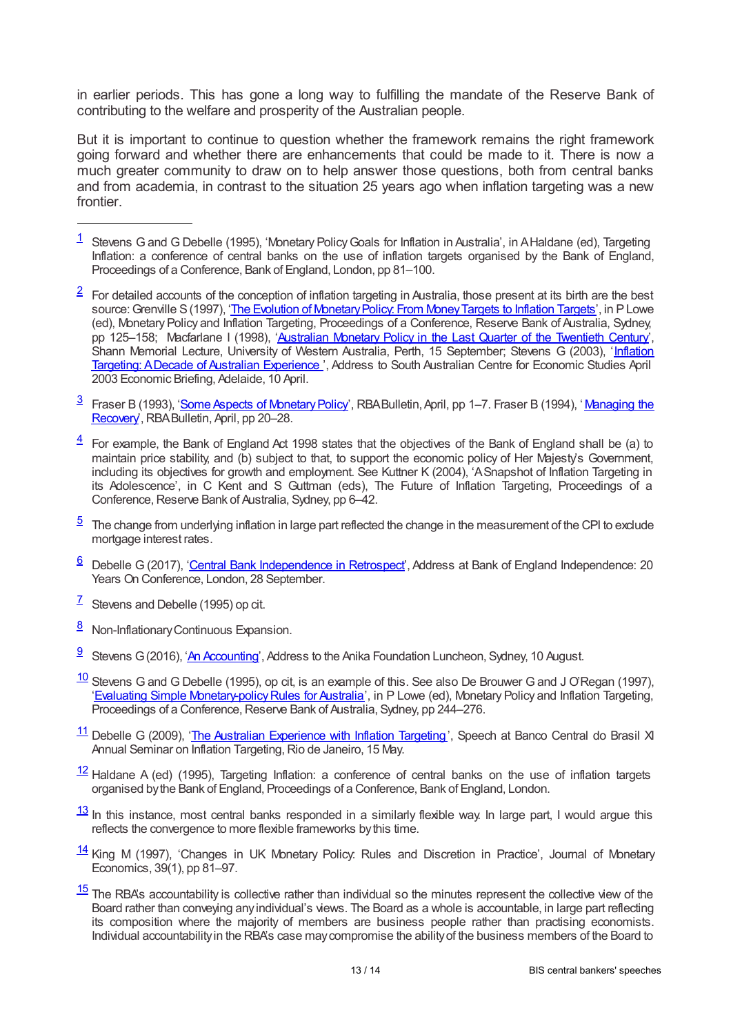in earlier periods. This has gone a long way to fulfilling the mandate of the Reserve Bank of contributing to the welfare and prosperity of the Australian people.

But it is important to continue to question whether the framework remains the right framework going forward and whether there are enhancements that could be made to it. There is now a much greater community to draw on to help answer those questions, both from central banks and from academia, in contrast to the situation 25 years ago when inflation targeting was a new frontier.

- <span id="page-12-0"></span> $\frac{1}{1}$  $\frac{1}{1}$  $\frac{1}{1}$  Stevens G and G Debelle (1995), 'Monetary Policy Goals for Inflation in Australia', in AHaldane (ed), Targeting Inflation: a conference of central banks on the use of inflation targets organised by the Bank of England, Proceedings of a Conference, Bank of England, London, pp 81–100.
- <span id="page-12-1"></span> $\frac{2}{3}$  $\frac{2}{3}$  $\frac{2}{3}$  For detailed accounts of the conception of inflation targeting in Australia, those present at its birth are the best source: Grenville S (1997), 'The Evolution of Monetary Policy: From Money Targets to Inflation Targets', in P Lowe (ed), Monetary Policy and Inflation Targeting, Proceedings of a Conference, Reserve Bank of Australia, Sydney, pp 125–158; Macfarlane I (1998), ['Australian](www.rba.gov.au/speeches/1998/sp-gov-150998.html) Monetary Policy in the Last Quarter of the Twentieth Century', Shann Memorial Lecture, University of Western Australia, Perth, 15 [September;](www.rba.gov.au/speeches/2003/sp-dg-100403.html) Stevens G (2003), 'Inflation Targeting: ADecade of Australian Experience ', Address to South Australian Centre for Economic Studies April 2003 Economic Briefing, Adelaide, 10 April.
- <span id="page-12-2"></span> $^{\overline{3}}~$  $^{\overline{3}}~$  $^{\overline{3}}~$  Fraser B (1993), '<u>Some Aspects of Monetary Policy',</u> RBABulletin, April, pp 1–7. Fraser B (1994), '<u>Managing the</u> Recovery, RBA Bulletin, April, pp 20–28.
- <span id="page-12-3"></span> $\frac{4}{1}$  $\frac{4}{1}$  $\frac{4}{1}$  For example, the Bank of England Act 1998 states that the objectives of the Bank of England shall be (a) to maintain price stability, and (b) subject to that, to support the economic policy of Her Majesty's Government, including its objectives for growth and employment. See Kuttner K (2004), 'ASnapshot of Inflation Targeting in its Adolescence', in C Kent and S Guttman (eds), The Future of Inflation Targeting, Proceedings of a Conference, Reserve Bank of Australia, Sydney, pp 6–42.
- <span id="page-12-4"></span> $5$  The change from underlying inflation in large part reflected the change in the measurement of the CPI to exclude mortgage interest rates.
- <span id="page-12-5"></span>6 Debelle G (2017), '<u>Central Bank [Independence](www.rba.gov.au/speeches/2017/sp-dg-2017?09-28.html) in Retrospect</u>', Address at Bank of England Independence: 20 Years On Conference, London, 28 September.
- <span id="page-12-6"></span> $\frac{7}{5}$  $\frac{7}{5}$  $\frac{7}{5}$  Stevens and Debelle (1995) op cit.
- <span id="page-12-7"></span>[8](#page-4-0) Non-Inflationary Continuous Expansion.
- <span id="page-12-8"></span><sup>9</sup> Stevens G (2016), 'An [Accounting](www.rba.gov.au/speeches/2016/sp-gov-2016?08-10.html)', Address to the Anika Foundation Luncheon, Sydney, 10 August.
- <span id="page-12-9"></span> $\frac{10}{10}$  $\frac{10}{10}$  $\frac{10}{10}$  Stevens G and G Debelle (1995), op cit, is an example of this. See also De Brouwer G and J O'Regan (1997), 'Evaluating Simple Monetary-policy Rules for Australia', in P Lowe (ed), Monetary Policy and Inflation Targeting, Proceedings of a Conference, Reserve Bank of Australia, Sydney, pp 244–276.
- <span id="page-12-10"></span>11 Debelle G (2009), 'The Australian [Experience](www.rba.gov.au/speeches/2009/sp-ag-150509.html) with Inflation Targeting', Speech at Banco Central do Brasil XI Annual Seminar on Inflation Targeting, Rio de Janeiro, 15 May.
- <span id="page-12-11"></span> $\frac{12}{12}$  $\frac{12}{12}$  $\frac{12}{12}$  Haldane A (ed) (1995), Targeting Inflation: a conference of central banks on the use of inflation targets organised bythe Bank of England, Proceedings of a Conference, Bank of England, London.
- <span id="page-12-12"></span> $\frac{13}{10}$  $\frac{13}{10}$  $\frac{13}{10}$  In this instance, most central banks responded in a similarly flexible way. In large part, I would argue this reflects the convergence to more flexible frameworks bythis time.
- <span id="page-12-13"></span> $\frac{14}{14}$  $\frac{14}{14}$  $\frac{14}{14}$  King M (1997), 'Changes in UK Monetary Policy. Rules and Discretion in Practice', Journal of Monetary Economics, 39(1), pp 81–97.
- <span id="page-12-14"></span> $\frac{15}{15}$  $\frac{15}{15}$  $\frac{15}{15}$  The RBA's accountability is collective rather than individual so the minutes represent the collective view of the Board rather than conveying anyindividual's views. The Board as a whole is accountable, in large part reflecting its composition where the majority of members are business people rather than practising economists. Individual accountabilityin the RBA's case maycompromise the abilityof the business members of the Board to